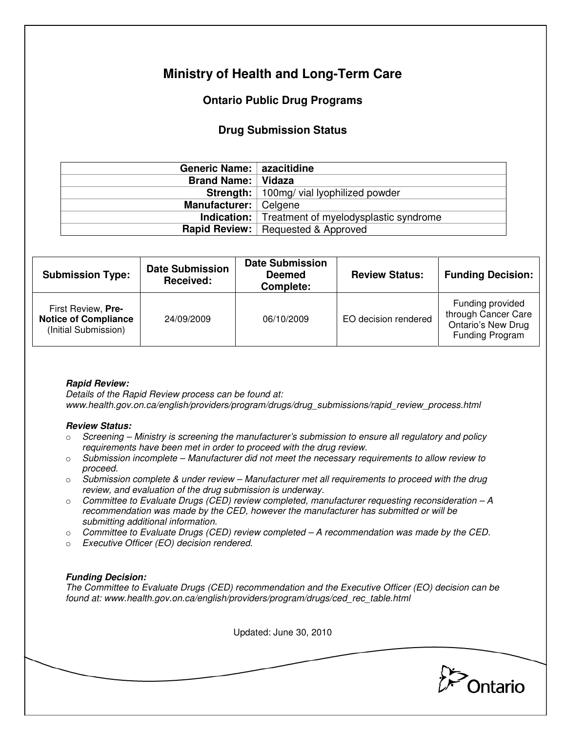# **Ministry of Health and Long-Term Care**

## **Ontario Public Drug Programs**

### **Drug Submission Status**

| Generic Name:   azacitidine |                                                          |  |
|-----------------------------|----------------------------------------------------------|--|
| <b>Brand Name:   Vidaza</b> |                                                          |  |
|                             | <b>Strength:</b>   100mg/ vial lyophilized powder        |  |
| Manufacturer:   Celgene     |                                                          |  |
|                             | <b>Indication:</b> Treatment of myelodysplastic syndrome |  |
|                             | <b>Rapid Review:</b>   Requested & Approved              |  |

| <b>Submission Type:</b>                                                   | <b>Date Submission</b><br><b>Received:</b> | <b>Date Submission</b><br><b>Deemed</b><br>Complete: | <b>Review Status:</b> | <b>Funding Decision:</b>                                                                |
|---------------------------------------------------------------------------|--------------------------------------------|------------------------------------------------------|-----------------------|-----------------------------------------------------------------------------------------|
| First Review, Pre-<br><b>Notice of Compliance</b><br>(Initial Submission) | 24/09/2009                                 | 06/10/2009                                           | EO decision rendered  | Funding provided<br>through Cancer Care<br><b>Ontario's New Drug</b><br>Funding Program |

#### **Rapid Review:**

Details of the Rapid Review process can be found at: www.health.gov.on.ca/english/providers/program/drugs/drug\_submissions/rapid\_review\_process.html

#### **Review Status:**

- $\circ$  Screening Ministry is screening the manufacturer's submission to ensure all regulatory and policy requirements have been met in order to proceed with the drug review.
- $\circ$  Submission incomplete Manufacturer did not meet the necessary requirements to allow review to proceed.
- $\circ$  Submission complete & under review Manufacturer met all requirements to proceed with the drug review, and evaluation of the drug submission is underway.
- $\circ$  Committee to Evaluate Drugs (CED) review completed, manufacturer requesting reconsideration  $-A$ recommendation was made by the CED, however the manufacturer has submitted or will be submitting additional information.
- $\circ$  Committee to Evaluate Drugs (CED) review completed  $-A$  recommendation was made by the CED.
- o Executive Officer (EO) decision rendered.

#### **Funding Decision:**

The Committee to Evaluate Drugs (CED) recommendation and the Executive Officer (EO) decision can be found at: www.health.gov.on.ca/english/providers/program/drugs/ced\_rec\_table.html

Updated: June 30, 2010

Ontario